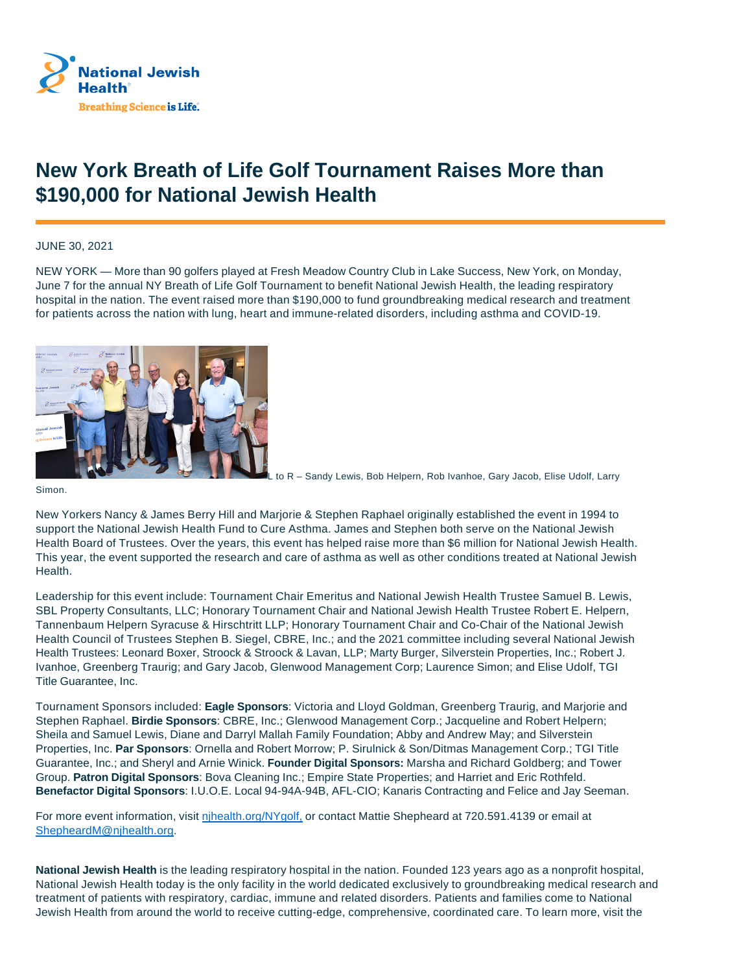

## **New York Breath of Life Golf Tournament Raises More than \$190,000 for National Jewish Health**

JUNE 30, 2021

NEW YORK — More than 90 golfers played at Fresh Meadow Country Club in Lake Success, New York, on Monday, June 7 for the annual NY Breath of Life Golf Tournament to benefit National Jewish Health, the leading respiratory hospital in the nation. The event raised more than \$190,000 to fund groundbreaking medical research and treatment for patients across the nation with lung, heart and immune-related disorders, including asthma and COVID-19.



to R – Sandy Lewis, Bob Helpern, Rob Ivanhoe, Gary Jacob, Elise Udolf, Larry

Simon.

New Yorkers Nancy & James Berry Hill and Marjorie & Stephen Raphael originally established the event in 1994 to support the National Jewish Health Fund to Cure Asthma. James and Stephen both serve on the National Jewish Health Board of Trustees. Over the years, this event has helped raise more than \$6 million for National Jewish Health. This year, the event supported the research and care of asthma as well as other conditions treated at National Jewish **Health** 

Leadership for this event include: Tournament Chair Emeritus and National Jewish Health Trustee Samuel B. Lewis, SBL Property Consultants, LLC; Honorary Tournament Chair and National Jewish Health Trustee Robert E. Helpern, Tannenbaum Helpern Syracuse & Hirschtritt LLP; Honorary Tournament Chair and Co-Chair of the National Jewish Health Council of Trustees Stephen B. Siegel, CBRE, Inc.; and the 2021 committee including several National Jewish Health Trustees: Leonard Boxer, Stroock & Stroock & Lavan, LLP; Marty Burger, Silverstein Properties, Inc.; Robert J. Ivanhoe, Greenberg Traurig; and Gary Jacob, Glenwood Management Corp; Laurence Simon; and Elise Udolf, TGI Title Guarantee, Inc.

Tournament Sponsors included: **Eagle Sponsors**: Victoria and Lloyd Goldman, Greenberg Traurig, and Marjorie and Stephen Raphael. **Birdie Sponsors**: CBRE, Inc.; Glenwood Management Corp.; Jacqueline and Robert Helpern; Sheila and Samuel Lewis, Diane and Darryl Mallah Family Foundation; Abby and Andrew May; and Silverstein Properties, Inc. **Par Sponsors**: Ornella and Robert Morrow; P. Sirulnick & Son/Ditmas Management Corp.; TGI Title Guarantee, Inc.; and Sheryl and Arnie Winick. **Founder Digital Sponsors:** Marsha and Richard Goldberg; and Tower Group. **Patron Digital Sponsors**: Bova Cleaning Inc.; Empire State Properties; and Harriet and Eric Rothfeld. **Benefactor Digital Sponsors**: I.U.O.E. Local 94-94A-94B, AFL-CIO; Kanaris Contracting and Felice and Jay Seeman.

For more event information, visit nihealth.org/NYgolf, or contact Mattie Shepheard at 720.591.4139 or email at ShepheardM@njhealth.org.

**National Jewish Health** is the leading respiratory hospital in the nation. Founded 123 years ago as a nonprofit hospital, National Jewish Health today is the only facility in the world dedicated exclusively to groundbreaking medical research and treatment of patients with respiratory, cardiac, immune and related disorders. Patients and families come to National Jewish Health from around the world to receive cutting-edge, comprehensive, coordinated care. To learn more, visit the